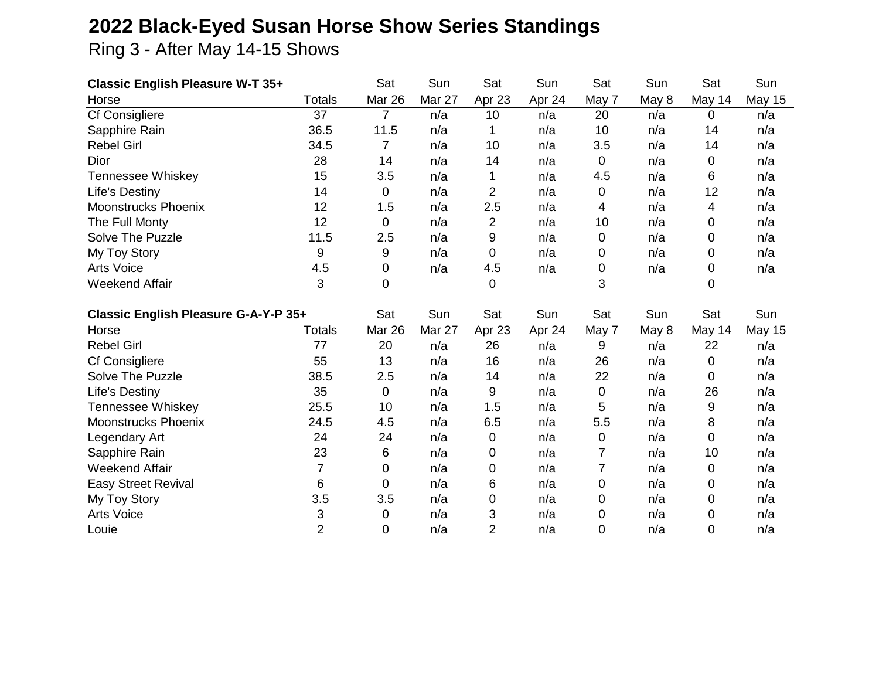## **2022 Black-Eyed Susan Horse Show Series Standings**

Ring 3 - After May 14-15 Shows

| <b>Classic English Pleasure W-T 35+</b> |                | Sat            | Sun    | Sat            | Sun    | Sat         | Sun   | Sat         | Sun           |
|-----------------------------------------|----------------|----------------|--------|----------------|--------|-------------|-------|-------------|---------------|
| Horse                                   | <b>Totals</b>  | Mar 26         | Mar 27 | Apr 23         | Apr 24 | May 7       | May 8 | May 14      | <b>May 15</b> |
| Cf Consigliere                          | 37             | $\overline{7}$ | n/a    | 10             | n/a    | 20          | n/a   | $\mathbf 0$ | n/a           |
| Sapphire Rain                           | 36.5           | 11.5           | n/a    |                | n/a    | 10          | n/a   | 14          | n/a           |
| <b>Rebel Girl</b>                       | 34.5           | 7              | n/a    | 10             | n/a    | 3.5         | n/a   | 14          | n/a           |
| Dior                                    | 28             | 14             | n/a    | 14             | n/a    | $\mathbf 0$ | n/a   | 0           | n/a           |
| <b>Tennessee Whiskey</b>                | 15             | 3.5            | n/a    | 1              | n/a    | 4.5         | n/a   | 6           | n/a           |
| <b>Life's Destiny</b>                   | 14             | $\overline{0}$ | n/a    | $\overline{2}$ | n/a    | $\mathbf 0$ | n/a   | 12          | n/a           |
| <b>Moonstrucks Phoenix</b>              | 12             | 1.5            | n/a    | 2.5            | n/a    | 4           | n/a   | 4           | n/a           |
| The Full Monty                          | 12             | $\mathbf 0$    | n/a    | $\overline{2}$ | n/a    | 10          | n/a   | 0           | n/a           |
| Solve The Puzzle                        | 11.5           | 2.5            | n/a    | 9              | n/a    | 0           | n/a   | 0           | n/a           |
| My Toy Story                            | 9              | 9              | n/a    | 0              | n/a    | 0           | n/a   | 0           | n/a           |
| <b>Arts Voice</b>                       | 4.5            | 0              | n/a    | 4.5            | n/a    | 0           | n/a   | 0           | n/a           |
| <b>Weekend Affair</b>                   | 3              | 0              |        | 0              |        | 3           |       | 0           |               |
| Classic English Pleasure G-A-Y-P 35+    |                |                |        |                |        |             |       |             |               |
|                                         |                | Sat            | Sun    | Sat            | Sun    | Sat         | Sun   | Sat         | Sun           |
| Horse                                   | <b>Totals</b>  | Mar 26         | Mar 27 | Apr 23         | Apr 24 | May 7       | May 8 | May 14      | <b>May 15</b> |
| <b>Rebel Girl</b>                       | 77             | 20             | n/a    | 26             | n/a    | 9           | n/a   | 22          | n/a           |
| Cf Consigliere                          | 55             | 13             | n/a    | 16             | n/a    | 26          | n/a   | 0           | n/a           |
| Solve The Puzzle                        | 38.5           | 2.5            | n/a    | 14             | n/a    | 22          | n/a   | 0           | n/a           |
| <b>Life's Destiny</b>                   | 35             | $\overline{0}$ | n/a    | 9              | n/a    | 0           | n/a   | 26          | n/a           |
| <b>Tennessee Whiskey</b>                | 25.5           | 10             | n/a    | 1.5            | n/a    | 5           | n/a   | 9           | n/a           |
| <b>Moonstrucks Phoenix</b>              | 24.5           | 4.5            | n/a    | 6.5            | n/a    | 5.5         | n/a   | 8           | n/a           |
| Legendary Art                           | 24             | 24             | n/a    | $\mathbf 0$    | n/a    | $\mathbf 0$ | n/a   | $\mathbf 0$ | n/a           |
| Sapphire Rain                           | 23             | 6              | n/a    | 0              | n/a    | 7           | n/a   | 10          | n/a           |
| <b>Weekend Affair</b>                   | $\overline{7}$ | 0              | n/a    | 0              | n/a    | 7           | n/a   | 0           | n/a           |
| <b>Easy Street Revival</b>              | 6              | $\overline{0}$ | n/a    | 6              | n/a    | 0           | n/a   | 0           | n/a           |
| My Toy Story                            | 3.5            | 3.5            | n/a    | 0              | n/a    | 0           | n/a   | 0           | n/a           |
| Arts Voice                              | 3              | 0              | n/a    | 3              | n/a    | 0           | n/a   | 0           | n/a           |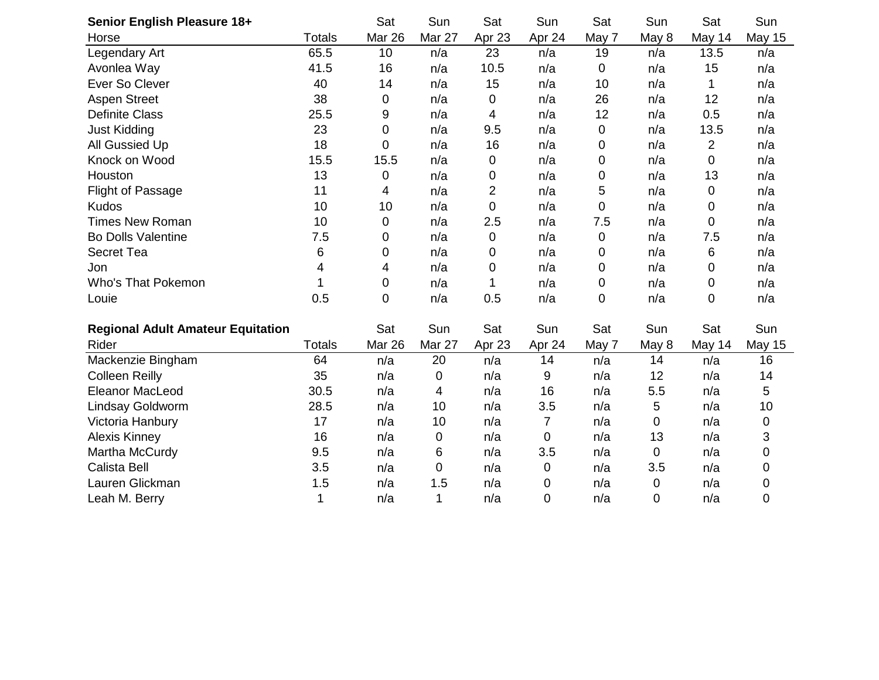| Senior English Pleasure 18+              |               | Sat            | Sun    | Sat         | Sun    | Sat              | Sun   | Sat    | Sun           |
|------------------------------------------|---------------|----------------|--------|-------------|--------|------------------|-------|--------|---------------|
| Horse                                    | <b>Totals</b> | Mar 26         | Mar 27 | Apr 23      | Apr 24 | May 7            | May 8 | May 14 | <b>May 15</b> |
| Legendary Art                            | 65.5          | 10             | n/a    | 23          | n/a    | 19               | n/a   | 13.5   | n/a           |
| Avonlea Way                              | 41.5          | 16             | n/a    | 10.5        | n/a    | $\mathbf 0$      | n/a   | 15     | n/a           |
| Ever So Clever                           | 40            | 14             | n/a    | 15          | n/a    | 10               | n/a   | 1      | n/a           |
| <b>Aspen Street</b>                      | 38            | 0              | n/a    | 0           | n/a    | 26               | n/a   | 12     | n/a           |
| <b>Definite Class</b>                    | 25.5          | 9              | n/a    | 4           | n/a    | 12               | n/a   | 0.5    | n/a           |
| <b>Just Kidding</b>                      | 23            | 0              | n/a    | 9.5         | n/a    | 0                | n/a   | 13.5   | n/a           |
| All Gussied Up                           | 18            | 0              | n/a    | 16          | n/a    | 0                | n/a   | 2      | n/a           |
| Knock on Wood                            | 15.5          | 15.5           | n/a    | 0           | n/a    | 0                | n/a   | 0      | n/a           |
| Houston                                  | 13            | 0              | n/a    | 0           | n/a    | $\boldsymbol{0}$ | n/a   | 13     | n/a           |
| <b>Flight of Passage</b>                 | 11            | $\overline{4}$ | n/a    | 2           | n/a    | 5                | n/a   | 0      | n/a           |
| <b>Kudos</b>                             | 10            | 10             | n/a    | 0           | n/a    | 0                | n/a   | 0      | n/a           |
| <b>Times New Roman</b>                   | 10            | 0              | n/a    | 2.5         | n/a    | 7.5              | n/a   | 0      | n/a           |
| <b>Bo Dolls Valentine</b>                | 7.5           | 0              | n/a    | 0           | n/a    | 0                | n/a   | 7.5    | n/a           |
| <b>Secret Tea</b>                        | 6             | 0              | n/a    | 0           | n/a    | 0                | n/a   | 6      | n/a           |
| Jon                                      | 4             | 4              | n/a    | $\mathbf 0$ | n/a    | $\boldsymbol{0}$ | n/a   | 0      | n/a           |
| <b>Who's That Pokemon</b>                | 1             | 0              | n/a    | 1           | n/a    | $\mathbf 0$      | n/a   | 0      | n/a           |
| Louie                                    | 0.5           | 0              | n/a    | 0.5         | n/a    | $\mathbf 0$      | n/a   | 0      | n/a           |
|                                          |               |                |        |             |        |                  |       |        |               |
| <b>Regional Adult Amateur Equitation</b> |               | Sat            | Sun    | Sat         | Sun    | Sat              | Sun   | Sat    | Sun           |
| Rider                                    | <b>Totals</b> | Mar 26         | Mar 27 | Apr 23      | Apr 24 | May 7            | May 8 | May 14 | <b>May 15</b> |
| Mackenzie Bingham                        | 64            | n/a            | 20     | n/a         | 14     | n/a              | 14    | n/a    | 16            |
| <b>Colleen Reilly</b>                    | 35            | n/a            | 0      | n/a         | 9      | n/a              | 12    | n/a    | 14            |
| <b>Eleanor MacLeod</b>                   | 30.5          | n/a            | 4      | n/a         | 16     | n/a              | 5.5   | n/a    | 5             |
| Lindsay Goldworm                         | 28.5          | n/a            | 10     | n/a         | 3.5    | n/a              | 5     | n/a    | 10            |
| Victoria Hanbury                         | 17            | n/a            | 10     | n/a         | 7      | n/a              | 0     | n/a    | 0             |
| <b>Alexis Kinney</b>                     | 16            | n/a            | 0      | n/a         | 0      | n/a              | 13    | n/a    | 3             |
| Martha McCurdy                           | 9.5           | n/a            | 6      | n/a         | 3.5    | n/a              | 0     | n/a    | $\mathsf 0$   |
| Calista Bell                             | 3.5           | n/a            | 0      | n/a         | 0      | n/a              | 3.5   | n/a    | 0             |
| Lauren Glickman                          | 1.5           | n/a            | 1.5    | n/a         | 0      | n/a              | 0     | n/a    | 0             |
| Leah M. Berry                            | 1             | n/a            | 1      | n/a         | 0      | n/a              | 0     | n/a    | $\mathbf 0$   |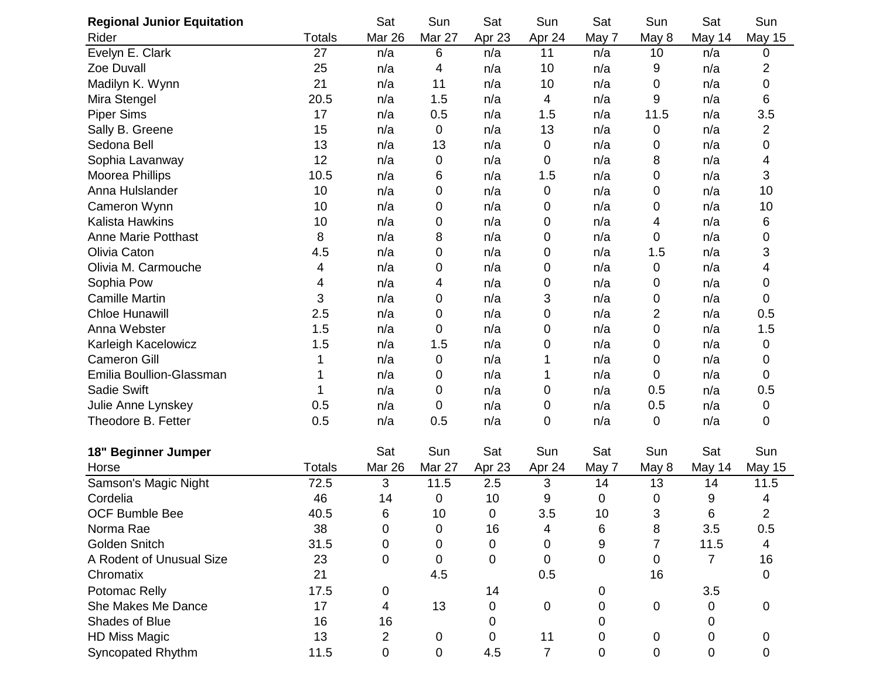| <b>Regional Junior Equitation</b> |               | Sat            | Sun         | Sat         | Sun            | Sat   | Sun            | Sat    | Sun            |
|-----------------------------------|---------------|----------------|-------------|-------------|----------------|-------|----------------|--------|----------------|
| Rider                             | <b>Totals</b> | Mar 26         | Mar 27      | Apr 23      | Apr 24         | May 7 | May 8          | May 14 | <b>May 15</b>  |
| Evelyn E. Clark                   | 27            | n/a            | 6           | n/a         | 11             | n/a   | 10             | n/a    | 0              |
| Zoe Duvall                        | 25            | n/a            | 4           | n/a         | 10             | n/a   | 9              | n/a    | 2              |
| Madilyn K. Wynn                   | 21            | n/a            | 11          | n/a         | 10             | n/a   | 0              | n/a    | 0              |
| Mira Stengel                      | 20.5          | n/a            | 1.5         | n/a         | 4              | n/a   | 9              | n/a    | 6              |
| <b>Piper Sims</b>                 | 17            | n/a            | 0.5         | n/a         | 1.5            | n/a   | 11.5           | n/a    | 3.5            |
| Sally B. Greene                   | 15            | n/a            | 0           | n/a         | 13             | n/a   | 0              | n/a    | 2              |
| Sedona Bell                       | 13            | n/a            | 13          | n/a         | 0              | n/a   | 0              | n/a    | 0              |
| Sophia Lavanway                   | 12            | n/a            | 0           | n/a         | 0              | n/a   | 8              | n/a    | 4              |
| Moorea Phillips                   | 10.5          | n/a            | 6           | n/a         | 1.5            | n/a   | 0              | n/a    | 3              |
| Anna Hulslander                   | 10            | n/a            | 0           | n/a         | 0              | n/a   | 0              | n/a    | 10             |
| Cameron Wynn                      | 10            | n/a            | 0           | n/a         | 0              | n/a   | 0              | n/a    | 10             |
| <b>Kalista Hawkins</b>            | 10            | n/a            | 0           | n/a         | 0              | n/a   | 4              | n/a    | 6              |
| <b>Anne Marie Potthast</b>        | 8             | n/a            | 8           | n/a         | 0              | n/a   | 0              | n/a    | 0              |
| Olivia Caton                      | 4.5           | n/a            | 0           | n/a         | 0              | n/a   | 1.5            | n/a    | 3              |
| Olivia M. Carmouche               | 4             | n/a            | 0           | n/a         | 0              | n/a   | 0              | n/a    | 4              |
| Sophia Pow                        | 4             | n/a            | 4           | n/a         | 0              | n/a   | 0              | n/a    | 0              |
| <b>Camille Martin</b>             | 3             | n/a            | 0           | n/a         | 3              | n/a   | 0              | n/a    | 0              |
| <b>Chloe Hunawill</b>             | 2.5           | n/a            | 0           | n/a         | 0              | n/a   | 2              | n/a    | 0.5            |
| Anna Webster                      | 1.5           | n/a            | 0           | n/a         | 0              | n/a   | 0              | n/a    | 1.5            |
| Karleigh Kacelowicz               | 1.5           | n/a            | 1.5         | n/a         | 0              | n/a   | 0              | n/a    | 0              |
| <b>Cameron Gill</b>               |               | n/a            | 0           | n/a         | 1              | n/a   | 0              | n/a    | 0              |
| Emilia Boullion-Glassman          |               | n/a            | 0           | n/a         | 1              | n/a   | 0              | n/a    | 0              |
| Sadie Swift                       |               | n/a            | 0           | n/a         | 0              | n/a   | 0.5            | n/a    | 0.5            |
| Julie Anne Lynskey                | 0.5           | n/a            | 0           | n/a         | 0              | n/a   | 0.5            | n/a    | 0              |
| Theodore B. Fetter                | 0.5           | n/a            | 0.5         | n/a         | 0              | n/a   | 0              | n/a    | 0              |
| <b>Beginner Jumper</b><br>18"     |               | Sat            | Sun         | Sat         | Sun            | Sat   | Sun            | Sat    | Sun            |
| Horse                             | <b>Totals</b> | Mar 26         | Mar 27      | Apr 23      | Apr 24         | May 7 | May 8          | May 14 | <b>May 15</b>  |
| Samson's Magic Night              | 72.5          | 3              | 11.5        | 2.5         | 3              | 14    | 13             | 14     | 11.5           |
| Cordelia                          | 46            | 14             | 0           | 10          | 9              | 0     | 0              | 9      | 4              |
| OCF Bumble Bee                    | 40.5          | 6              | 10          | 0           | 3.5            | 10    | 3              | 6      | $\overline{2}$ |
| Norma Rae                         | 38            | 0              | 0           | 16          | 4              | 6     | 8              | 3.5    | 0.5            |
| Golden Snitch                     | 31.5          | 0              | 0           | $\mathbf 0$ | 0              | 9     | $\overline{7}$ | 11.5   | 4              |
| A Rodent of Unusual Size          | 23            | 0              | 0           | 0           | $\mathbf 0$    | 0     | 0              | 7      | 16             |
| Chromatix                         | 21            |                | 4.5         |             | 0.5            |       | 16             |        | $\mathbf 0$    |
| Potomac Relly                     | 17.5          | $\mathbf 0$    |             | 14          |                | 0     |                | 3.5    |                |
| She Makes Me Dance                | 17            | $\overline{4}$ | 13          | $\mathbf 0$ | 0              | 0     | 0              | 0      | 0              |
| Shades of Blue                    | 16            | 16             |             | 0           |                | 0     |                | 0      |                |
| <b>HD Miss Magic</b>              | 13            | $\overline{2}$ | 0           | 0           | 11             | 0     | 0              | 0      | 0              |
| Syncopated Rhythm                 | 11.5          | $\mathbf 0$    | $\mathbf 0$ | 4.5         | $\overline{7}$ | 0     | 0              | 0      | 0              |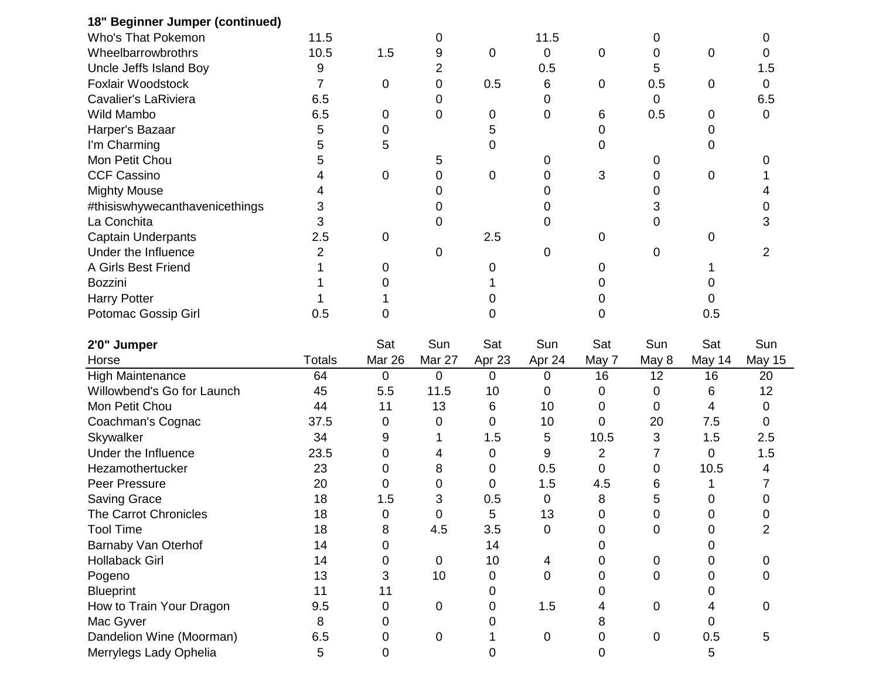| 18" Beginner Jumper (continued) |               |             |                |                |           |       |       |        |               |
|---------------------------------|---------------|-------------|----------------|----------------|-----------|-------|-------|--------|---------------|
| <b>Who's That Pokemon</b>       | 11.5          |             | 0              |                | 11.5      |       | 0     |        | 0             |
| Wheelbarrowbrothrs              | 10.5          | 1.5         | 9              | 0              | 0         | 0     | 0     | 0      | 0             |
| Uncle Jeff's Island Boy         | 9             |             | $\overline{2}$ |                | 0.5       |       | 5     |        | 1.5           |
| Foxlair Woodstock               | 7             | 0           | 0              | 0.5            | 6         | 0     | 0.5   | 0      | 0             |
| <b>Cavalier's LaRiviera</b>     | 6.5           |             | 0              |                | 0         |       | 0     |        | 6.5           |
| Wild Mambo                      | 6.5           | 0           | 0              | 0              | 0         | 6     | 0.5   | 0      | 0             |
| Harper's Bazaar                 | 5             | 0           |                | 5              |           | 0     |       | 0      |               |
| I'm Charming                    | 5             | 5           |                | 0              |           | 0     |       | 0      |               |
| Mon Petit Chou                  | 5             |             | 5              |                | 0         |       | 0     |        | O             |
| <b>CCF Cassino</b>              | 4             | 0           | 0              | 0              | 0         | 3     | 0     | 0      |               |
| <b>Mighty Mouse</b>             |               |             | 0              |                | Ω         |       | 0     |        |               |
| #thisiswhywecanthavenicethings  | 3             |             | 0              |                | 0         |       | 3     |        |               |
| La Conchita                     | 3             |             | 0              |                | 0         |       | 0     |        |               |
| <b>Captain Underpants</b>       | 2.5           | 0           |                | 2.5            |           | 0     |       | 0      |               |
| Under the Influence             | 2             |             | 0              |                | 0         |       | 0     |        | 2             |
| A Girls Best Friend             |               | 0           |                | 0              |           | 0     |       |        |               |
| Bozzini                         |               |             |                |                |           | Ω     |       |        |               |
| <b>Harry Potter</b>             |               |             |                | 0              |           | 0     |       |        |               |
| Potomac Gossip Girl             | 0.5           | 0           |                | 0              |           | 0     |       | 0.5    |               |
| 2'0" Jumper                     |               | Sat         | Sun            | Sat            | Sun       | Sat   | Sun   | Sat    | Sun           |
| Horse                           | <b>Totals</b> | Mar 26      | Mar 27         | Apr 23         | Apr 24    | May 7 | May 8 | May 14 | <b>May 15</b> |
| <b>High Maintenance</b>         | 64            | $\mathbf 0$ | 0              | $\overline{0}$ | 0         | 16    | 12    | 16     | 20            |
| Willowbend's Go for Launch      | 45            | 5.5         | 11.5           | 10             | 0         | 0     | 0     | 6      | 12            |
| Mon Petit Chou                  | 44            | 11          | 13             | 6              | 10        | 0     | 0     | 4      | 0             |
| Coachman's Cognac               | 37.5          | 0           | 0              | 0              | 10        | 0     | 20    | 7.5    | 0             |
| Skywalker                       | 34            | 9           |                | 1.5            | 5         | 10.5  | 3     | 1.5    | 2.5           |
| Under the Influence             | 23.5          | 0           | 4              | 0              | 9         | 2     | 7     | 0      | 1.5           |
| Hezamothertucker                | 23            | 0           | 8              | 0              | 0.5       | 0     | 0     | 10.5   | 4             |
| Peer Pressure                   | 20            | 0           | 0              | 0              | 1.5       | 4.5   | 6     |        |               |
| Saving Grace                    | 18            | 1.5         | 3              | 0.5            | 0         | 8     | 5     | 0      | 0             |
| The Carrot Chronicles           | 18            | $\pmb{0}$   | 0              | 5              | 13        | 0     | 0     | 0      | 0             |
| <b>Tool Time</b>                | 18            | 8           | 4.5            | 3.5            | 0         | 0     | 0     | 0      | 2             |
| Barnaby Van Oterhof             | 14            | 0           |                | 14             |           | 0     |       | 0      |               |
| <b>Hollaback Girl</b>           | 14            | 0           | $\mathbf 0$    | 10             | 4         | 0     | 0     | 0      | 0             |
| Pogeno                          | 13            | 3           | 10             | 0              | 0         | 0     | 0     | 0      | 0             |
| <b>Blueprint</b>                | 11            | 11          |                | 0              |           | 0     |       | 0      |               |
|                                 |               |             |                |                |           |       |       |        |               |
| How to Train Your Dragon        | 9.5           | 0           | 0              | 0              | 1.5       | 4     | 0     | 4      | 0             |
| Mac Gyver                       | 8             | 0           |                | 0              |           | 8     |       | 0      |               |
| Dandelion Wine (Moorman)        | 6.5           | 0           | $\pmb{0}$      |                | $\pmb{0}$ | 0     | 0     | 0.5    | 5             |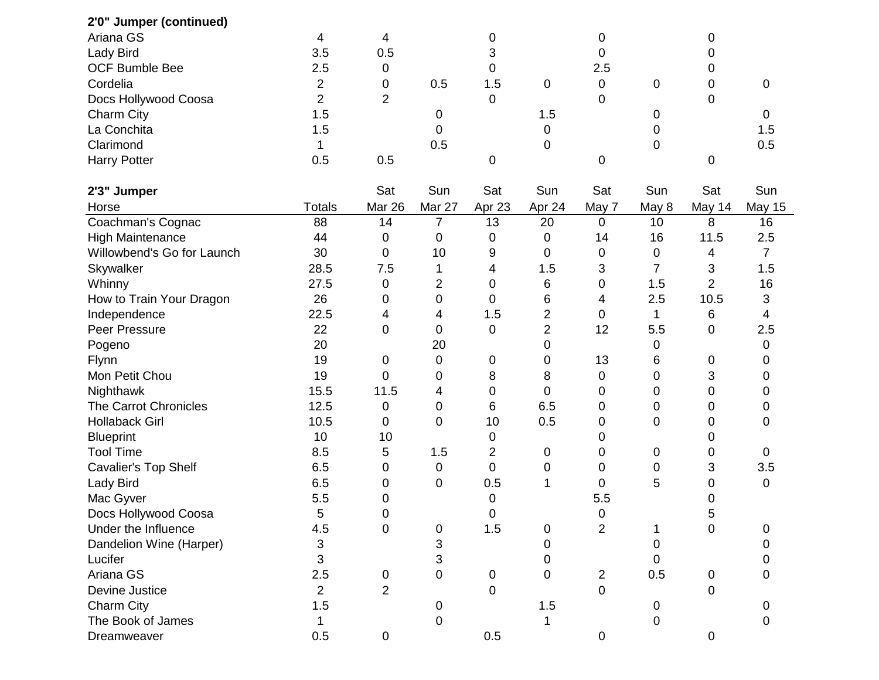| 2'0" Jumper (continued)    |                |                |                |                |                |                |             |                |                |
|----------------------------|----------------|----------------|----------------|----------------|----------------|----------------|-------------|----------------|----------------|
| Ariana GS                  | 4              | 4              |                | 0              |                | 0              |             | 0              |                |
| Lady Bird                  | 3.5            | 0.5            |                | 3              |                | 0              |             | 0              |                |
| <b>OCF Bumble Bee</b>      | 2.5            | 0              |                | 0              |                | 2.5            |             | 0              |                |
| Cordelia                   | 2              | 0              | 0.5            | 1.5            | 0              | $\mathbf 0$    | $\mathbf 0$ | 0              | $\mathbf 0$    |
| Docs Hollywood Coosa       | $\overline{2}$ | $\overline{2}$ |                | 0              |                | 0              |             | 0              |                |
| Charm City                 | 1.5            |                | 0              |                | 1.5            |                | 0           |                | 0              |
| La Conchita                | 1.5            |                | 0              |                | 0              |                | 0           |                | 1.5            |
| Clarimond                  | 1              |                | 0.5            |                | 0              |                | 0           |                | 0.5            |
| <b>Harry Potter</b>        | 0.5            | 0.5            |                | 0              |                | 0              |             | 0              |                |
| 2'3" Jumper                |                | Sat            | Sun            | Sat            | Sun            | Sat            | Sun         | Sat            | Sun            |
| Horse                      | <b>Totals</b>  | Mar 26         | Mar 27         | Apr 23         | Apr 24         | May 7          | May 8       | May 14         | <b>May 15</b>  |
| Coachman's Cognac          | 88             | 14             | 7              | 13             | 20             | 0              | 10          | 8              | 16             |
| <b>High Maintenance</b>    | 44             | 0              | 0              | 0              | 0              | 14             | 16          | 11.5           | 2.5            |
| Willowbend's Go for Launch | 30             | $\mathbf 0$    | 10             | 9              | 0              | 0              | 0           | 4              | $\overline{7}$ |
| Skywalker                  | 28.5           | 7.5            | 1              | 4              | 1.5            | 3              | 7           | 3              | 1.5            |
| Whinny                     | 27.5           | $\mathbf 0$    | $\overline{2}$ | 0              | 6              | 0              | 1.5         | $\overline{2}$ | 16             |
| How to Train Your Dragon   | 26             | 0              | 0              | 0              | 6              | 4              | 2.5         | 10.5           | 3              |
| Independence               | 22.5           | 4              | 4              | 1.5            | 2              | 0              | 1           | 6              | 4              |
| Peer Pressure              | 22             | 0              | 0              | 0              | $\overline{2}$ | 12             | 5.5         | 0              | 2.5            |
| Pogeno                     | 20             |                | 20             |                | 0              |                | 0           |                | 0              |
| Flynn                      | 19             | 0              | 0              | 0              | 0              | 13             | 6           | 0              | 0              |
| Mon Petit Chou             | 19             | 0              | 0              | 8              | 8              | 0              | $\mathbf 0$ | 3              | 0              |
| Nighthawk                  | 15.5           | 11.5           | 4              | 0              | 0              | 0              | 0           | 0              | 0              |
| The Carrot Chronicles      | 12.5           | 0              | 0              | 6              | 6.5            | 0              | 0           | 0              | 0              |
| <b>Hollaback Girl</b>      | 10.5           | 0              | 0              | 10             | 0.5            | 0              | $\mathbf 0$ | 0              | 0              |
| <b>Blueprint</b>           | 10             | 10             |                | 0              |                | 0              |             | 0              |                |
| <b>Tool Time</b>           | 8.5            | 5              | 1.5            | $\overline{2}$ | 0              | 0              | 0           | 0              | 0              |
| Cavalier's Top Shelf       | 6.5            | 0              | $\mathbf 0$    | 0              | 0              | 0              | $\mathbf 0$ | 3              | 3.5            |
| Lady Bird                  | 6.5            | 0              | $\mathbf 0$    | 0.5            | 1              | 0              | 5           | 0              | $\mathbf 0$    |
| Mac Gyver                  | 5.5            | 0              |                | 0              |                | 5.5            |             | 0              |                |
| Docs Hollywood Coosa       | 5              | 0              |                | 0              |                | $\Omega$       |             | ς              |                |
| Under the Influence        | 4.5            | $\pmb{0}$      | 0              | 1.5            | 0              | $\overline{2}$ |             | $\mathbf 0$    | 0              |
| Dandelion Wine (Harper)    | 3              |                | 3              |                | 0              |                | 0           |                | 0              |
| Lucifer                    | 3              |                | 3              |                | 0              |                | 0           |                |                |
| Ariana GS                  | 2.5            | 0              | 0              | $\mathbf 0$    | 0              | 2              | 0.5         | 0              | 0              |
| Devine Justice             | $\overline{2}$ | $\overline{2}$ |                | $\overline{0}$ |                | $\mathbf 0$    |             | 0              |                |
| Charm City                 | 1.5            |                | 0              |                | 1.5            |                | 0           |                |                |
| The Book of James          |                |                | 0              |                |                |                | 0           |                |                |
| Dreamweaver                | 0.5            | $\mathbf 0$    |                | 0.5            |                | $\pmb{0}$      |             | $\pmb{0}$      |                |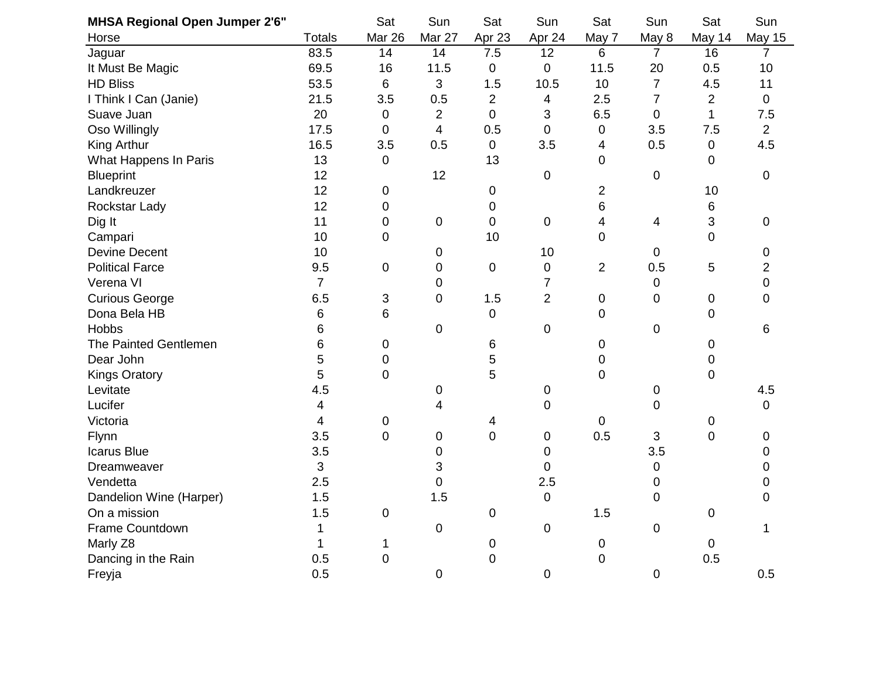| <b>MHSA Regional Open Jumper 2'6"</b> |                | Sat            | Sun            | Sat            | Sun              | Sat            | Sun              | Sat            | Sun            |
|---------------------------------------|----------------|----------------|----------------|----------------|------------------|----------------|------------------|----------------|----------------|
| Horse                                 | <b>Totals</b>  | Mar 26         | Mar 27         | Apr 23         | Apr 24           | May 7          | May 8            | May 14         | May 15         |
| Jaguar                                | 83.5           | 14             | 14             | 7.5            | 12               | 6              | $\overline{7}$   | 16             | 7              |
| It Must Be Magic                      | 69.5           | 16             | 11.5           | $\pmb{0}$      | $\boldsymbol{0}$ | 11.5           | 20               | 0.5            | 10             |
| <b>HD Bliss</b>                       | 53.5           | 6              | 3              | 1.5            | 10.5             | 10             | $\overline{7}$   | 4.5            | 11             |
| I Think I Can (Janie)                 | 21.5           | 3.5            | 0.5            | $\overline{2}$ | 4                | 2.5            | $\overline{7}$   | $\overline{2}$ | $\mathbf 0$    |
| Suave Juan                            | 20             | $\mathbf 0$    | $\overline{2}$ | $\overline{0}$ | 3                | 6.5            | $\mathbf 0$      | $\mathbf 1$    | 7.5            |
| Oso Willingly                         | 17.5           | $\overline{0}$ | $\overline{4}$ | 0.5            | $\mathbf 0$      | $\pmb{0}$      | 3.5              | 7.5            | $\overline{2}$ |
| King Arthur                           | 16.5           | 3.5            | 0.5            | $\mathbf{0}$   | 3.5              | 4              | 0.5              | 0              | 4.5            |
| What Happens In Paris                 | 13             | 0              |                | 13             |                  | $\mathbf 0$    |                  | 0              |                |
| <b>Blueprint</b>                      | 12             |                | 12             |                | $\overline{0}$   |                | $\pmb{0}$        |                | $\mathbf 0$    |
| Landkreuzer                           | 12             | 0              |                | $\mathbf 0$    |                  | $\overline{2}$ |                  | 10             |                |
| Rockstar Lady                         | 12             | 0              |                | 0              |                  | 6              |                  | 6              |                |
| Dig It                                | 11             | $\mathbf 0$    | $\mathsf 0$    | $\mathbf 0$    | $\pmb{0}$        | 4              | 4                | 3              | $\mathbf 0$    |
| Campari                               | 10             | 0              |                | 10             |                  | $\mathbf 0$    |                  | 0              |                |
| <b>Devine Decent</b>                  | 10             |                | 0              |                | 10               |                | $\mathbf 0$      |                | $\mathbf 0$    |
| <b>Political Farce</b>                | 9.5            | 0              | 0              | $\pmb{0}$      | $\mathbf 0$      | $\overline{2}$ | 0.5              | 5              | 2              |
| Verena VI                             | $\overline{7}$ |                | $\mathbf 0$    |                | $\overline{7}$   |                | $\mathbf 0$      |                | $\mathbf 0$    |
| <b>Curious George</b>                 | 6.5            | 3              | $\overline{0}$ | 1.5            | $\overline{2}$   | $\mathbf 0$    | $\mathbf 0$      | 0              | 0              |
| Dona Bela HB                          | 6              | 6              |                | $\pmb{0}$      |                  | $\mathbf 0$    |                  | 0              |                |
| <b>Hobbs</b>                          | 6              |                | 0              |                | $\mathbf 0$      |                | $\pmb{0}$        |                | 6              |
| The Painted Gentlemen                 | 6              | 0              |                | 6              |                  | $\pmb{0}$      |                  | 0              |                |
| Dear John                             | 5              | $\mathbf 0$    |                | 5              |                  | 0              |                  | 0              |                |
| <b>Kings Oratory</b>                  | 5              | $\mathbf 0$    |                | 5              |                  | $\mathbf 0$    |                  | 0              |                |
| Levitate                              | 4.5            |                | 0              |                | 0                |                | 0                |                | 4.5            |
| Lucifer                               | $\overline{4}$ |                | 4              |                | $\mathbf 0$      |                | $\boldsymbol{0}$ |                | $\mathbf 0$    |
| Victoria                              | 4              | 0              |                | 4              |                  | $\mathbf 0$    |                  | 0              |                |
| Flynn                                 | 3.5            | $\pmb{0}$      | 0              | $\mathbf 0$    | 0                | 0.5            | 3                | 0              | 0              |
| <b>Icarus Blue</b>                    | 3.5            |                | 0              |                | 0                |                | 3.5              |                | 0              |
| Dreamweaver                           | 3              |                | 3              |                | 0                |                | $\pmb{0}$        |                | 0              |
| Vendetta                              | 2.5            |                | $\overline{0}$ |                | 2.5              |                | 0                |                | 0              |
| Dandelion Wine (Harper)               | 1.5            |                | 1.5            |                | $\pmb{0}$        |                | $\mathsf 0$      |                | 0              |
| On a mission                          | 1.5            | 0              |                | 0              |                  | 1.5            |                  | 0              |                |
| Frame Countdown                       | 1              |                | $\mathsf 0$    |                | $\mathbf 0$      |                | $\mathbf 0$      |                | 1              |
| Marly Z8                              | 1              | 1              |                | 0              |                  | $\mathbf 0$    |                  | 0              |                |
| Dancing in the Rain                   | 0.5            | $\mathbf 0$    |                | $\mathbf 0$    |                  | $\mathbf 0$    |                  | 0.5            |                |
| Freyja                                | 0.5            |                | 0              |                | $\mathbf 0$      |                | $\mathbf 0$      |                | 0.5            |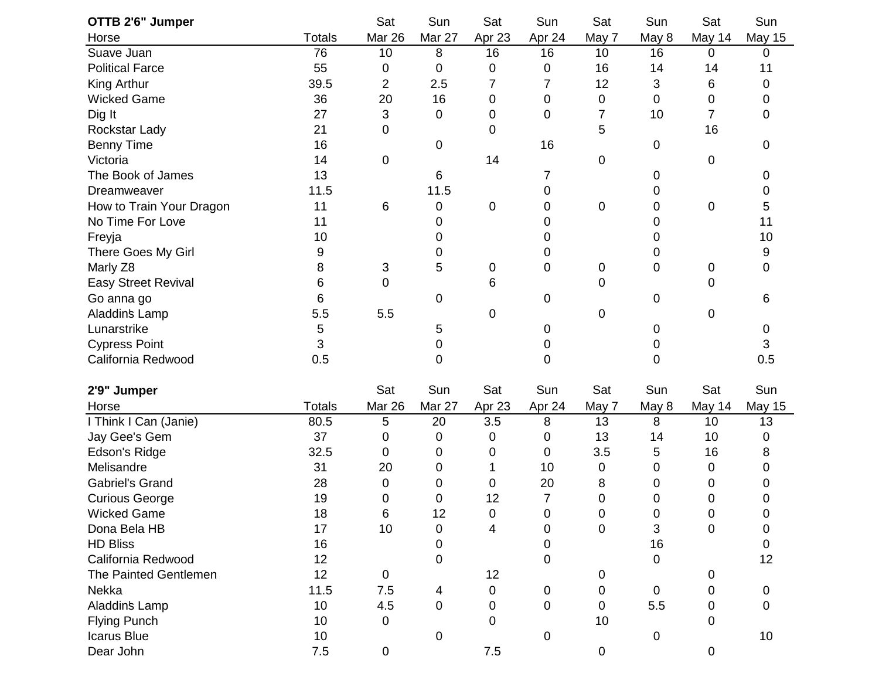| OTTB 2'6" Jumper           |               | Sat            | Sun         | Sat         | Sun    | Sat              | Sun         | Sat         | Sun           |
|----------------------------|---------------|----------------|-------------|-------------|--------|------------------|-------------|-------------|---------------|
| Horse                      | <b>Totals</b> | Mar 26         | Mar 27      | Apr 23      | Apr 24 | May 7            | May 8       | May 14      | <b>May 15</b> |
| Suave Juan                 | 76            | 10             | 8           | 16          | 16     | 10               | 16          | 0           | 0             |
| <b>Political Farce</b>     | 55            | 0              | 0           | 0           | 0      | 16               | 14          | 14          | 11            |
| King Arthur                | 39.5          | $\overline{2}$ | 2.5         | 7           | 7      | 12               | 3           | 6           | 0             |
| <b>Wicked Game</b>         | 36            | 20             | 16          | 0           | 0      | 0                | 0           | 0           | 0             |
| Dig It                     | 27            | 3              | 0           | 0           | 0      | 7                | 10          | 7           | 0             |
| Rockstar Lady              | 21            | 0              |             | 0           |        | 5                |             | 16          |               |
| <b>Benny Time</b>          | 16            |                | 0           |             | 16     |                  | 0           |             | 0             |
| Victoria                   | 14            | 0              |             | 14          |        | $\pmb{0}$        |             | 0           |               |
| The Book of James          | 13            |                | 6           |             | 7      |                  | 0           |             | 0             |
| Dreamweaver                | 11.5          |                | 11.5        |             | 0      |                  | 0           |             | 0             |
| How to Train Your Dragon   | 11            | 6              | 0           | 0           | 0      | $\pmb{0}$        | 0           | 0           | 5             |
| No Time For Love           | 11            |                | 0           |             | 0      |                  | 0           |             | 11            |
| Freyja                     | 10            |                | 0           |             | 0      |                  | 0           |             | 10            |
| There Goes My Girl         | 9             |                | 0           |             | 0      |                  | 0           |             | 9             |
| Marly Z8                   | 8             | 3              | 5           | $\mathbf 0$ | 0      | $\boldsymbol{0}$ | 0           | 0           | 0             |
| <b>Easy Street Revival</b> | 6             | 0              |             | 6           |        | 0                |             | 0           |               |
| Go anna go                 | 6             |                | 0           |             | 0      |                  | 0           |             | 6             |
| Aladdin's Lamp             | 5.5           | 5.5            |             | 0           |        | $\mathbf 0$      |             | 0           |               |
| Lunarstrike                | 5             |                | 5           |             | 0      |                  | 0           |             | 0             |
| <b>Cypress Point</b>       | 3             |                | 0           |             | 0      |                  | 0           |             | 3             |
| California Redwood         | 0.5           |                | 0           |             | 0      |                  | 0           |             | 0.5           |
| 2'9" Jumper                |               | Sat            | Sun         | Sat         | Sun    | Sat              | Sun         | Sat         | Sun           |
| Horse                      | <b>Totals</b> | Mar 26         | Mar 27      | Apr 23      | Apr 24 | May 7            | May 8       | May 14      | <b>May 15</b> |
| I Think I Can (Janie)      | 80.5          | 5              | 20          | 3.5         | 8      | 13               | 8           | 10          | 13            |
| Jay Gee's Gem              | 37            | 0              | 0           | 0           | 0      | 13               | 14          | 10          | 0             |
| Edson's Ridge              | 32.5          | 0              | 0           | 0           | 0      | 3.5              | 5           | 16          | 8             |
| Melisandre                 | 31            | 20             | 0           | 1           | 10     | 0                | 0           | 0           | 0             |
| <b>Gabriel's Grand</b>     | 28            | 0              | 0           | 0           | 20     | 8                | 0           | 0           | O             |
| <b>Curious George</b>      | 19            | 0              | 0           | 12          | 7      | 0                | 0           | 0           | 0             |
| Wicked Game                | 18            | $\,6\,$        | 12          | 0           | 0      | 0                | 0           | 0           | 0             |
| Dona Bela HB               | 17            | 10             | 0           | 4           | 0      | $\mathbf 0$      | 3           | 0           | 0             |
| <b>HD Bliss</b>            | 16            |                | 0           |             | 0      |                  | 16          |             | $\Omega$      |
| California Redwood         | 12            |                | $\mathbf 0$ |             | 0      |                  | 0           |             | 12            |
| The Painted Gentlemen      | 12            | $\overline{0}$ |             | 12          |        | 0                |             | 0           |               |
| Nekka                      | 11.5          | 7.5            | 4           | 0           | 0      | 0                | $\mathbf 0$ | 0           | 0             |
| Aladdin's Lamp             | 10            | 4.5            | 0           | $\mathbf 0$ | 0      | $\mathbf 0$      | 5.5         | 0           | 0             |
| <b>Flying Punch</b>        | 10            | 0              |             | $\mathbf 0$ |        | 10               |             | 0           |               |
| <b>Icarus Blue</b>         | 10            |                | 0           |             | 0      |                  | 0           |             | 10            |
| Dear John                  | 7.5           | $\overline{0}$ |             | 7.5         |        | $\pmb{0}$        |             | $\mathbf 0$ |               |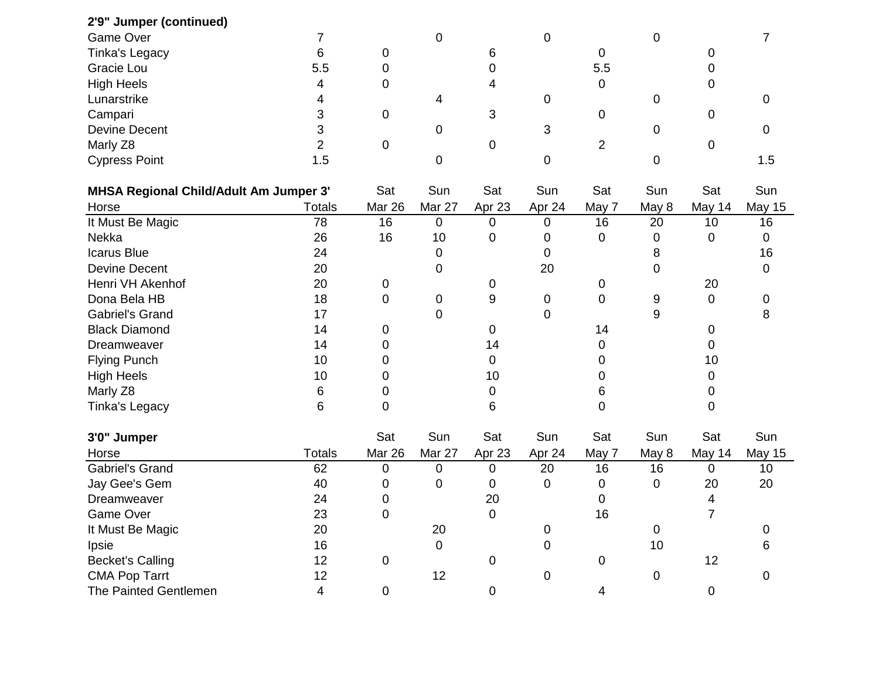| 2'9" Jumper (continued)                       |               |             |                |             |             |                |             |           |               |
|-----------------------------------------------|---------------|-------------|----------------|-------------|-------------|----------------|-------------|-----------|---------------|
| Game Over                                     | 7             |             | $\mathbf 0$    |             | 0           |                | $\mathbf 0$ |           | 7             |
| <b>Tinka's Legacy</b>                         | 6             | 0           |                | 6           |             | 0              |             | 0         |               |
| Gracie Lou                                    | 5.5           | 0           |                | 0           |             | 5.5            |             | 0         |               |
| <b>High Heels</b>                             | 4             | 0           |                | 4           |             | 0              |             | 0         |               |
| Lunarstrike                                   | 4             |             | 4              |             | 0           |                | 0           |           | 0             |
| Campari                                       | 3             | 0           |                | 3           |             | 0              |             | 0         |               |
| <b>Devine Decent</b>                          | 3             |             | 0              |             | 3           |                | 0           |           | 0             |
| Marly Z8                                      | 2             | $\mathbf 0$ |                | 0           |             | $\overline{2}$ |             | 0         |               |
| <b>Cypress Point</b>                          | 1.5           |             | 0              |             | $\mathbf 0$ |                | 0           |           | 1.5           |
| <b>MHSA Regional Child/Adult Am Jumper 3'</b> |               | Sat         | Sun            | Sat         | Sun         | Sat            | Sun         | Sat       | Sun           |
| Horse                                         | <b>Totals</b> | Mar 26      | Mar 27         | Apr 23      | Apr 24      | May 7          | May 8       | May 14    | <b>May 15</b> |
| It Must Be Magic                              | 78            | 16          | 0              | 0           | 0           | 16             | 20          | 10        | 16            |
| Nekka                                         | 26            | 16          | 10             | 0           | 0           | 0              | 0           | 0         | 0             |
| Icarus Blue                                   | 24            |             | 0              |             | 0           |                | 8           |           | 16            |
| <b>Devine Decent</b>                          | 20            |             | 0              |             | 20          |                | 0           |           | 0             |
| Henri VH Akenhof                              | 20            | 0           |                | 0           |             | 0              |             | 20        |               |
| Dona Bela HB                                  | 18            | 0           | 0              | 9           | 0           | $\mathbf 0$    | 9           | 0         | 0             |
| <b>Gabriel's Grand</b>                        | 17            |             | $\overline{0}$ |             | $\mathbf 0$ |                | 9           |           | 8             |
| <b>Black Diamond</b>                          | 14            | 0           |                | 0           |             | 14             |             | 0         |               |
| Dreamweaver                                   | 14            | 0           |                | 14          |             | 0              |             | 0         |               |
| <b>Flying Punch</b>                           | 10            | 0           |                | 0           |             | 0              |             | 10        |               |
| <b>High Heels</b>                             | 10            | 0           |                | 10          |             | 0              |             | 0         |               |
| Marly Z8                                      | 6             | 0           |                | 0           |             | 6              |             | 0         |               |
| Tinka's Legacy                                | 6             | 0           |                | 6           |             | 0              |             | 0         |               |
| 3'0" Jumper                                   |               | Sat         | Sun            | Sat         | Sun         | Sat            | Sun         | Sat       | Sun           |
| Horse                                         | <b>Totals</b> | Mar 26      | Mar 27         | Apr 23      | Apr 24      | May 7          | May 8       | May 14    | <b>May 15</b> |
| <b>Gabriel's Grand</b>                        | 62            | 0           | 0              | 0           | 20          | 16             | 16          | 0         | 10            |
| Jay Gee's Gem                                 | 40            | 0           | 0              | 0           | 0           | 0              | $\mathbf 0$ | 20        | 20            |
| Dreamweaver                                   | 24            | 0           |                | 20          |             | 0              |             | 4         |               |
| Game Over                                     | 23            | 0           |                | $\pmb{0}$   |             | 16             |             | 7         |               |
| It Must Be Magic                              | 20            |             | 20             |             | 0           |                | 0           |           | 0             |
| Ipsie                                         | 16            |             | 0              |             | 0           |                | 10          |           | 6             |
| <b>Becket's Calling</b>                       | 12            | $\mathbf 0$ |                | 0           |             | $\pmb{0}$      |             | 12        |               |
| <b>CMA Pop Tarrt</b>                          | 12            |             | 12             |             | $\pmb{0}$   |                | $\pmb{0}$   |           | 0             |
| The Painted Gentlemen                         | 4             | $\mathbf 0$ |                | $\mathbf 0$ |             | 4              |             | $\pmb{0}$ |               |